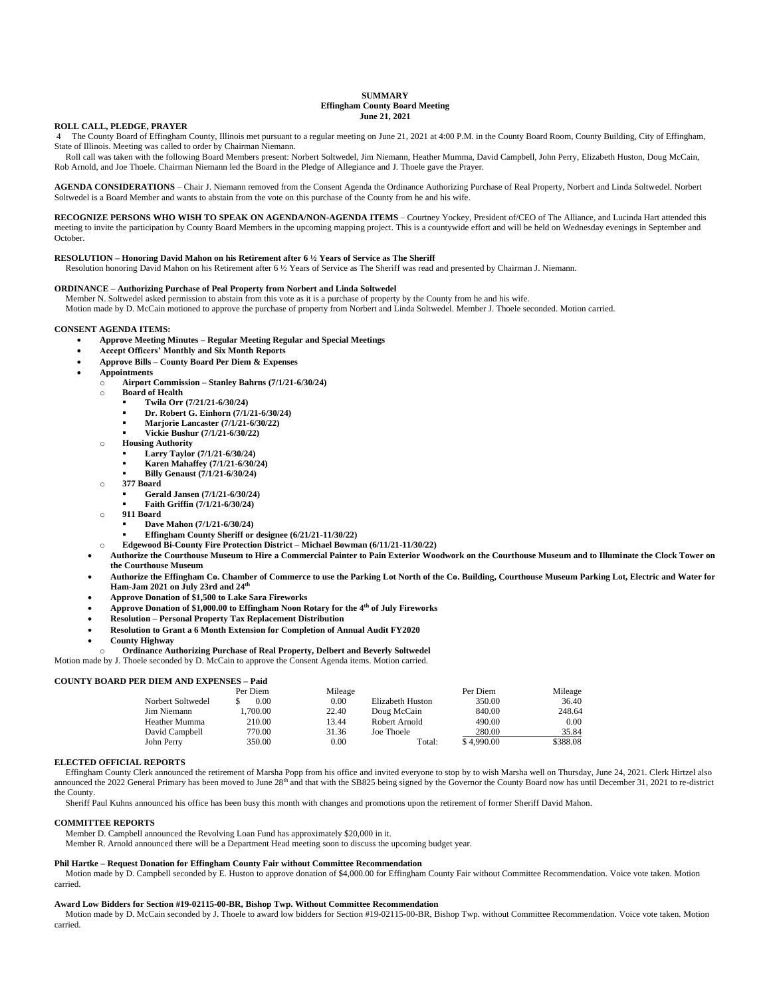# **SUMMARY Effingham County Board Meeting June 21, 2021**

# **ROLL CALL, PLEDGE, PRAYER**

4 The County Board of Effingham County, Illinois met pursuant to a regular meeting on June 21, 2021 at 4:00 P.M. in the County Board Room, County Building, City of Effingham, State of Illinois. Meeting was called to order by Chairman Niemann.

 Roll call was taken with the following Board Members present: Norbert Soltwedel, Jim Niemann, Heather Mumma, David Campbell, John Perry, Elizabeth Huston, Doug McCain, Rob Arnold, and Joe Thoele. Chairman Niemann led the Board in the Pledge of Allegiance and J. Thoele gave the Prayer.

**AGENDA CONSIDERATIONS** – Chair J. Niemann removed from the Consent Agenda the Ordinance Authorizing Purchase of Real Property, Norbert and Linda Soltwedel. Norbert Soltwedel is a Board Member and wants to abstain from the vote on this purchase of the County from he and his wife.

**RECOGNIZE PERSONS WHO WISH TO SPEAK ON AGENDA/NON-AGENDA ITEMS** – Courtney Yockey, President of/CEO of The Alliance, and Lucinda Hart attended this meeting to invite the participation by County Board Members in the upcoming mapping project. This is a countywide effort and will be held on Wednesday evenings in September and October.

# **RESOLUTION – Honoring David Mahon on his Retirement after 6 ½ Years of Service as The Sheriff**

Resolution honoring David Mahon on his Retirement after 6 ½ Years of Service as The Sheriff was read and presented by Chairman J. Niemann.

# **ORDINANCE – Authorizing Purchase of Peal Property from Norbert and Linda Soltwedel**

Member N. Soltwedel asked permission to abstain from this vote as it is a purchase of property by the County from he and his wife.

Motion made by D. McCain motioned to approve the purchase of property from Norbert and Linda Soltwedel. Member J. Thoele seconded. Motion carried.

### **CONSENT AGENDA ITEMS:**

- **Approve Meeting Minutes – Regular Meeting Regular and Special Meetings**
- **Accept Officers' Monthly and Six Month Reports**
- **Approve Bills – County Board Per Diem & Expenses**
- **Appointments**
	- o **Airport Commission – Stanley Bahrns (7/1/21-6/30/24)**
	- o **Board of Health** 
		- **Twila Orr (7/21/21-6/30/24)**
		- **Dr. Robert G. Einhorn (7/1/21-6/30/24)**
		- **Marjorie Lancaster (7/1/21-6/30/22)**
		- **Vickie Bushur (7/1/21-6/30/22)**
	- o **Housing Authority**
		- **Larry Taylor (7/1/21-6/30/24)**
			- **Karen Mahaffey (7/1/21-6/30/24)**
			- **Billy Genaust (7/1/21-6/30/24)**
	- o **377 Board**
		- **Gerald Jansen (7/1/21-6/30/24)**
		- **Faith Griffin (7/1/21-6/30/24)**
	- o **911 Board**
		- **Dave Mahon (7/1/21-6/30/24)**
		- **Effingham County Sheriff or designee (6/21/21-11/30/22)**
	- o **Edgewood Bi-County Fire Protection District – Michael Bowman (6/11/21-11/30/22)**
	- **Authorize the Courthouse Museum to Hire a Commercial Painter to Pain Exterior Woodwork on the Courthouse Museum and to Illuminate the Clock Tower on the Courthouse Museum**
	- **Authorize the Effingham Co. Chamber of Commerce to use the Parking Lot North of the Co. Building, Courthouse Museum Parking Lot, Electric and Water for Ham-Jam 2021 on July 23rd and 24th**
	- **Approve Donation of \$1,500 to Lake Sara Fireworks**
	- **Approve Donation of \$1,000.00 to Effingham Noon Rotary for the 4th of July Fireworks**
	- **Resolution – Personal Property Tax Replacement Distribution**
	- **Resolution to Grant a 6 Month Extension for Completion of Annual Audit FY2020**
	- **County Highway**

o **Ordinance Authorizing Purchase of Real Property, Delbert and Beverly Soltwedel**

Motion made by J. Thoele seconded by D. McCain to approve the Consent Agenda items. Motion carried.

## **COUNTY BOARD PER DIEM AND EXPENSES – Paid**

|                   | Per Diem | Mileage |                  | Per Diem   | Mileage  |
|-------------------|----------|---------|------------------|------------|----------|
| Norbert Soltwedel | 0.00     | 0.00    | Elizabeth Huston | 350.00     | 36.40    |
| Jim Niemann       | .700.00  | 22.40   | Doug McCain      | 840.00     | 248.64   |
| Heather Mumma     | 210.00   | 13.44   | Robert Arnold    | 490.00     | 0.00     |
| David Campbell    | 770.00   | 31.36   | Joe Thoele       | 280.00     | 35.84    |
| John Perry        | 350.00   | 0.00    | Total:           | \$4,990.00 | \$388.08 |

# **ELECTED OFFICIAL REPORTS**

 Effingham County Clerk announced the retirement of Marsha Popp from his office and invited everyone to stop by to wish Marsha well on Thursday, June 24, 2021. Clerk Hirtzel also announced the 2022 General Primary has been moved to June 28<sup>th</sup> and that with the SB825 being signed by the Governor the County Board now has until December 31, 2021 to re-district the County.

Sheriff Paul Kuhns announced his office has been busy this month with changes and promotions upon the retirement of former Sheriff David Mahon.

### **COMMITTEE REPORTS**

Member D. Campbell announced the Revolving Loan Fund has approximately \$20,000 in it.

Member R. Arnold announced there will be a Department Head meeting soon to discuss the upcoming budget year.

## **Phil Hartke – Request Donation for Effingham County Fair without Committee Recommendation**

 Motion made by D. Campbell seconded by E. Huston to approve donation of \$4,000.00 for Effingham County Fair without Committee Recommendation. Voice vote taken. Motion carried.

#### **Award Low Bidders for Section #19-02115-00-BR, Bishop Twp. Without Committee Recommendation**

 Motion made by D. McCain seconded by J. Thoele to award low bidders for Section #19-02115-00-BR, Bishop Twp. without Committee Recommendation. Voice vote taken. Motion carried.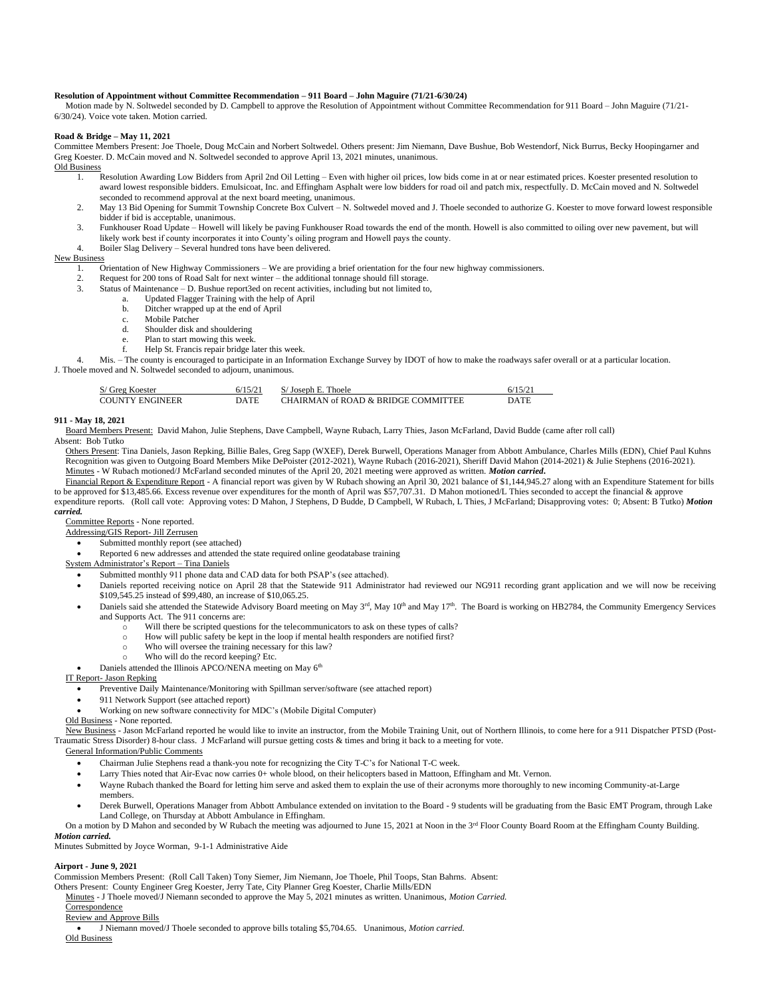# **Resolution of Appointment without Committee Recommendation – 911 Board – John Maguire (71/21-6/30/24)**

Motion made by N. Soltwedel seconded by D. Campbell to approve the Resolution of Appointment without Committee Recommendation for 911 Board – John Maguire (71/21- 6/30/24). Voice vote taken. Motion carried.

# **Road & Bridge – May 11, 2021**

Committee Members Present: Joe Thoele, Doug McCain and Norbert Soltwedel. Others present: Jim Niemann, Dave Bushue, Bob Westendorf, Nick Burrus, Becky Hoopingarner and Greg Koester. D. McCain moved and N. Soltwedel seconded to approve April 13, 2021 minutes, unanimous.

Old Business

- 1. Resolution Awarding Low Bidders from April 2nd Oil Letting Even with higher oil prices, low bids come in at or near estimated prices. Koester presented resolution to award lowest responsible bidders. Emulsicoat, Inc. and Effingham Asphalt were low bidders for road oil and patch mix, respectfully. D. McCain moved and N. Soltwedel seconded to recommend approval at the next board meeting, unanimous.
- 2. May 13 Bid Opening for Summit Township Concrete Box Culvert N. Soltwedel moved and J. Thoele seconded to authorize G. Koester to move forward lowest responsible bidder if bid is acceptable, unanimous.
- 3. Funkhouser Road Update Howell will likely be paving Funkhouser Road towards the end of the month. Howell is also committed to oiling over new pavement, but will likely work best if county incorporates it into County's oiling program and Howell pays the county.
- 4. Boiler Slag Delivery Several hundred tons have been delivered.

# New Business

- 1. Orientation of New Highway Commissioners We are providing a brief orientation for the four new highway commissioners.
- 2. Request for 200 tons of Road Salt for next winter the additional tonnage should fill storage.
- 3. Status of Maintenance D. Bushue report3ed on recent activities, including but not limited to,
	- a. Updated Flagger Training with the help of April
		- b. Ditcher wrapped up at the end of April
		- c. Mobile Patcher
		- d. Shoulder disk and shouldering
		- e. Plan to start mowing this week.
		- f. Help St. Francis repair bridge later this week.

4. Mis. – The county is encouraged to participate in an Information Exchange Survey by IDOT of how to make the roadways safer overall or at a particular location. J. Thoele moved and N. Soltwedel seconded to adjourn, unanimous.

| S/ Greg Koester        | 6/15/21 | S/Joseph E. Thoele                  | 6/15/21     |
|------------------------|---------|-------------------------------------|-------------|
| <b>COUNTY ENGINEER</b> | DATE    | CHAIRMAN of ROAD & BRIDGE COMMITTEE | <b>DATE</b> |

# **911 - May 18, 2021**

Board Members Present: David Mahon, Julie Stephens, Dave Campbell, Wayne Rubach, Larry Thies, Jason McFarland, David Budde (came after roll call)

# Absent: Bob Tutko

 Others Present: Tina Daniels, Jason Repking, Billie Bales, Greg Sapp (WXEF), Derek Burwell, Operations Manager from Abbott Ambulance, Charles Mills (EDN), Chief Paul Kuhns Recognition was given to Outgoing Board Members Mike DePoister (2012-2021), Wayne Rubach (2016-2021), Sheriff David Mahon (2014-2021) & Julie Stephens (2016-2021). Minutes - W Rubach motioned/J McFarland seconded minutes of the April 20, 2021 meeting were approved as written. *Motion carried***.** 

Financial Report & Expenditure Report - A financial report was given by W Rubach showing an April 30, 2021 balance of \$1,144,945.27 along with an Expenditure Statement for bills to be approved for \$13,485.66. Excess revenue over expenditures for the month of April was \$57,707.31. D Mahon motioned/L Thies seconded to accept the financial & approve expenditure reports. (Roll call vote: Approving votes: D Mahon, J Stephens, D Budde, D Campbell, W Rubach, L Thies, J McFarland; Disapproving votes: 0; Absent: B Tutko) *Motion* 

#### *carried.*

Committee Reports - None reported.

- Addressing/GIS Report- Jill Zerrusen
	- Submitted monthly report (see attached)
	- Reported 6 new addresses and attended the state required online geodatabase training
- System Administrator's Report Tina Daniels
	- Submitted monthly 911 phone data and CAD data for both PSAP's (see attached).
	- Daniels reported receiving notice on April 28 that the Statewide 911 Administrator had reviewed our NG911 recording grant application and we will now be receiving \$109,545.25 instead of \$99,480, an increase of \$10,065.25.
	- Daniels said she attended the Statewide Advisory Board meeting on May 3<sup>rd</sup>, May 10<sup>th</sup> and May 17<sup>th</sup>. The Board is working on HB2784, the Community Emergency Services and Supports Act. The 911 concerns are:
		- o Will there be scripted questions for the telecommunicators to ask on these types of calls?
		- o How will public safety be kept in the loop if mental health responders are notified first?
		- o Who will oversee the training necessary for this law?
		- o Who will do the record keeping? Etc.
		- Daniels attended the Illinois APCO/NENA meeting on May 6<sup>th</sup>

### IT Report- Jason Repking

- Preventive Daily Maintenance/Monitoring with Spillman server/software (see attached report)
- 911 Network Support (see attached report)
- Working on new software connectivity for MDC's (Mobile Digital Computer)
- Old Business None reported.

 New Business - Jason McFarland reported he would like to invite an instructor, from the Mobile Training Unit, out of Northern Illinois, to come here for a 911 Dispatcher PTSD (Post-Traumatic Stress Disorder) 8-hour class. J McFarland will pursue getting costs & times and bring it back to a meeting for vote.

#### General Information/Public Comments

- Chairman Julie Stephens read a thank-you note for recognizing the City T-C's for National T-C week.
- Larry Thies noted that Air-Evac now carries 0+ whole blood, on their helicopters based in Mattoon, Effingham and Mt. Vernon.
- Wayne Rubach thanked the Board for letting him serve and asked them to explain the use of their acronyms more thoroughly to new incoming Community-at-Large members.
- Derek Burwell, Operations Manager from Abbott Ambulance extended on invitation to the Board 9 students will be graduating from the Basic EMT Program, through Lake Land College, on Thursday at Abbott Ambulance in Effingham.
- On a motion by D Mahon and seconded by W Rubach the meeting was adjourned to June 15, 2021 at Noon in the 3<sup>rd</sup> Floor County Board Room at the Effingham County Building. *Motion carried.*

Minutes Submitted by Joyce Worman, 9-1-1 Administrative Aide

**Airport - June 9, 2021** 

Commission Members Present: (Roll Call Taken) Tony Siemer, Jim Niemann, Joe Thoele, Phil Toops, Stan Bahrns. Absent:

Others Present: County Engineer Greg Koester, Jerry Tate, City Planner Greg Koester, Charlie Mills/EDN

Minutes - J Thoele moved/J Niemann seconded to approve the May 5, 2021 minutes as written. Unanimous, *Motion Carried.*

**Correspondence** 

#### Review and Approve Bills

• J Niemann moved/J Thoele seconded to approve bills totaling \$5,704.65. Unanimous, *Motion carried.* Old Business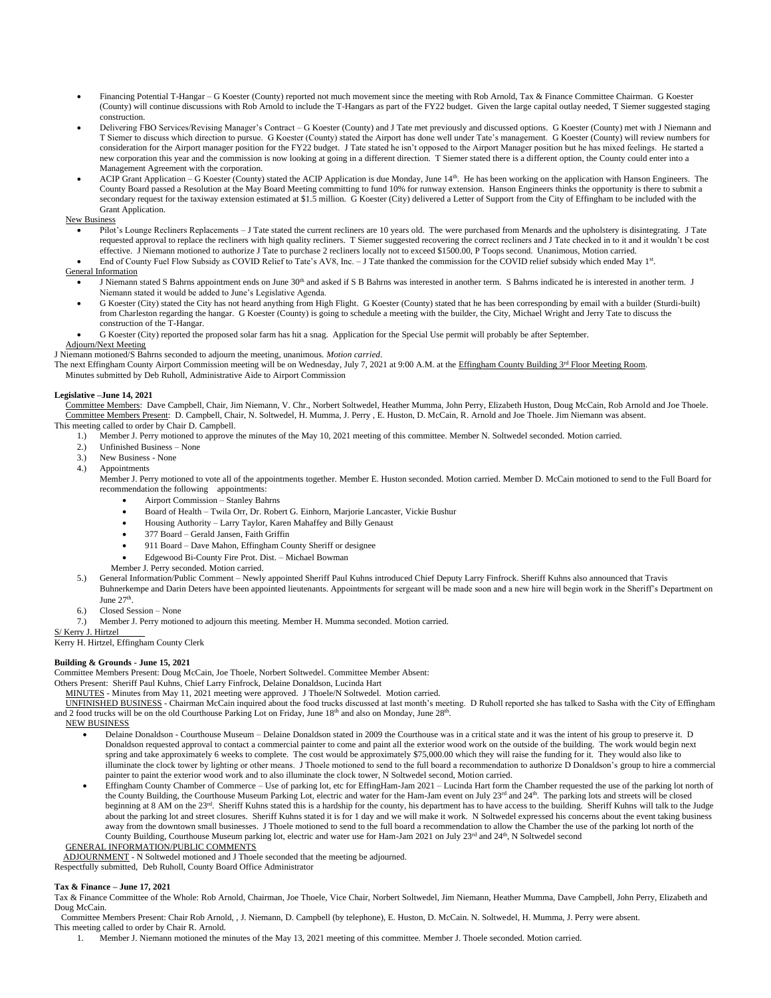- Financing Potential T-Hangar G Koester (County) reported not much movement since the meeting with Rob Arnold, Tax & Finance Committee Chairman. G Koester (County) will continue discussions with Rob Arnold to include the T-Hangars as part of the FY22 budget. Given the large capital outlay needed, T Siemer suggested staging construction.
- Delivering FBO Services/Revising Manager's Contract G Koester (County) and J Tate met previously and discussed options. G Koester (County) met with J Niemann and T Siemer to discuss which direction to pursue. G Koester (County) stated the Airport has done well under Tate's management. G Koester (County) will review numbers for consideration for the Airport manager position for the FY22 budget. J Tate stated he isn't opposed to the Airport Manager position but he has mixed feelings. He started a new corporation this year and the commission is now looking at going in a different direction. T Siemer stated there is a different option, the County could enter into a Management Agreement with the corporation.
- ACIP Grant Application G Koester (County) stated the ACIP Application is due Monday, June 14th. He has been working on the application with Hanson Engineers. The County Board passed a Resolution at the May Board Meeting committing to fund 10% for runway extension. Hanson Engineers thinks the opportunity is there to submit a secondary request for the taxiway extension estimated at \$1.5 million. G Koester (City) delivered a Letter of Support from the City of Effingham to be included with the Grant Application.

# New Business

- Pilot's Lounge Recliners Replacements J Tate stated the current recliners are 10 years old. The were purchased from Menards and the upholstery is disintegrating. J Tate requested approval to replace the recliners with high quality recliners. T Siemer suggested recovering the correct recliners and J Tate checked in to it and it wouldn't be cost effective. J Niemann motioned to authorize J Tate to purchase 2 recliners locally not to exceed \$1500.00, P Toops second. Unanimous, Motion carried.
- End of County Fuel Flow Subsidy as COVID Relief to Tate's AV8, Inc. J Tate thanked the commission for the COVID relief subsidy which ended May 1<sup>st</sup>.

# General Information

- J Niemann stated S Bahrns appointment ends on June 30<sup>th</sup> and asked if S B Bahrns was interested in another term. S Bahrns indicated he is interested in another term. J Niemann stated it would be added to June's Legislative Agenda.
- G Koester (City) stated the City has not heard anything from High Flight. G Koester (County) stated that he has been corresponding by email with a builder (Sturdi-built) from Charleston regarding the hangar. G Koester (County) is going to schedule a meeting with the builder, the City, Michael Wright and Jerry Tate to discuss the construction of the T-Hangar.
- G Koester (City) reported the proposed solar farm has hit a snag. Application for the Special Use permit will probably be after September.

# Adjourn/Next Meeting

- J Niemann motioned/S Bahrns seconded to adjourn the meeting, unanimous. *Motion carried*.
- The next Effingham County Airport Commission meeting will be on Wednesday, July 7, 2021 at 9:00 A.M. at the Effingham County Building 3rd Floor Meeting Room.
	- Minutes submitted by Deb Ruholl, Administrative Aide to Airport Commission

# **Legislative –June 14, 2021**

 Committee Members: Dave Campbell, Chair, Jim Niemann, V. Chr., Norbert Soltwedel, Heather Mumma, John Perry, Elizabeth Huston, Doug McCain, Rob Arnold and Joe Thoele. Committee Members Present: D. Campbell, Chair, N. Soltwedel, H. Mumma, J. Perry , E. Huston, D. McCain, R. Arnold and Joe Thoele. Jim Niemann was absent.

- This meeting called to order by Chair D. Campbell.<br>1. Member J. Perry motioned to approve to 1.) Member J. Perry motioned to approve the minutes of the May 10, 2021 meeting of this committee. Member N. Soltwedel seconded. Motion carried.
	- 2.) Unfinished Business None
	- 3.) New Business None
	- 4.) Appointments

Member J. Perry motioned to vote all of the appointments together. Member E. Huston seconded. Motion carried. Member D. McCain motioned to send to the Full Board for recommendation the following appointments:

- Airport Commission Stanley Bahrns
- Board of Health Twila Orr, Dr. Robert G. Einhorn, Marjorie Lancaster, Vickie Bushur
- Housing Authority Larry Taylor, Karen Mahaffey and Billy Genaust
- 377 Board Gerald Jansen, Faith Griffin
- 911 Board Dave Mahon, Effingham County Sheriff or designee
- Edgewood Bi-County Fire Prot. Dist. Michael Bowman
- Member J. Perry seconded. Motion carried.
- 5.) General Information/Public Comment Newly appointed Sheriff Paul Kuhns introduced Chief Deputy Larry Finfrock. Sheriff Kuhns also announced that Travis Buhnerkempe and Darin Deters have been appointed lieutenants. Appointments for sergeant will be made soon and a new hire will begin work in the Sheriff's Department on June 27<sup>th</sup>.
- 
- 6.) Closed Session None
- 7.) Member J. Perry motioned to adjourn this meeting. Member H. Mumma seconded. Motion carried.

S/ Kerry J. Hirtzel

Kerry H. Hirtzel, Effingham County Clerk

# **Building & Grounds - June 15, 2021**

Committee Members Present: Doug McCain, Joe Thoele, Norbert Soltwedel. Committee Member Absent:

Others Present: Sheriff Paul Kuhns, Chief Larry Finfrock, Delaine Donaldson, Lucinda Hart

- MINUTES Minutes from May 11, 2021 meeting were approved. J Thoele/N Soltwedel. Motion carried.
- UNFINISHED BUSINESS Chairman McCain inquired about the food trucks discussed at last month's meeting. D Ruholl reported she has talked to Sasha with the City of Effingham and 2 food trucks will be on the old Courthouse Parking Lot on Friday, June  $18<sup>th</sup>$  and also on Monday, June  $28<sup>th</sup>$ .
- NEW BUSINESS
	- Delaine Donaldson Courthouse Museum Delaine Donaldson stated in 2009 the Courthouse was in a critical state and it was the intent of his group to preserve it. D Donaldson requested approval to contact a commercial painter to come and paint all the exterior wood work on the outside of the building. The work would begin next spring and take approximately 6 weeks to complete. The cost would be approximately \$75,000.00 which they will raise the funding for it. They would also like to illuminate the clock tower by lighting or other means. J Thoele motioned to send to the full board a recommendation to authorize D Donaldson's group to hire a commercial painter to paint the exterior wood work and to also illuminate the clock tower, N Soltwedel second, Motion carried.
	- Effingham County Chamber of Commerce Use of parking lot, etc for EffingHam-Jam 2021 Lucinda Hart form the Chamber requested the use of the parking lot north of the County Building, the Courthouse Museum Parking Lot, electric and water for the Ham-Jam event on July 23<sup>rd</sup> and 24<sup>th</sup>. The parking lots and streets will be closed beginning at 8 AM on the 23<sup>rd</sup>. Sheriff Kuhns stated this is a hardship for the county, his department has to have access to the building. Sheriff Kuhns will talk to the Judge about the parking lot and street closures. Sheriff Kuhns stated it is for 1 day and we will make it work. N Soltwedel expressed his concerns about the event taking business away from the downtown small businesses. J Thoele motioned to send to the full board a recommendation to allow the Chamber the use of the parking lot north of the County Building, Courthouse Museum parking lot, electric and water use for Ham-Jam 2021 on July 23rd and 24<sup>th</sup>, N Soltwedel second

GENERAL INFORMATION/PUBLIC COMMENTS

ADJOURNMENT - N Soltwedel motioned and J Thoele seconded that the meeting be adjourned.

Respectfully submitted, Deb Ruholl, County Board Office Administrator

# **Tax & Finance – June 17, 2021**

Tax & Finance Committee of the Whole: Rob Arnold, Chairman, Joe Thoele, Vice Chair, Norbert Soltwedel, Jim Niemann, Heather Mumma, Dave Campbell, John Perry, Elizabeth and Doug McCain.

 Committee Members Present: Chair Rob Arnold, , J. Niemann, D. Campbell (by telephone), E. Huston, D. McCain. N. Soltwedel, H. Mumma, J. Perry were absent. This meeting called to order by Chair R. Arnold.

1. Member J. Niemann motioned the minutes of the May 13, 2021 meeting of this committee. Member J. Thoele seconded. Motion carried.